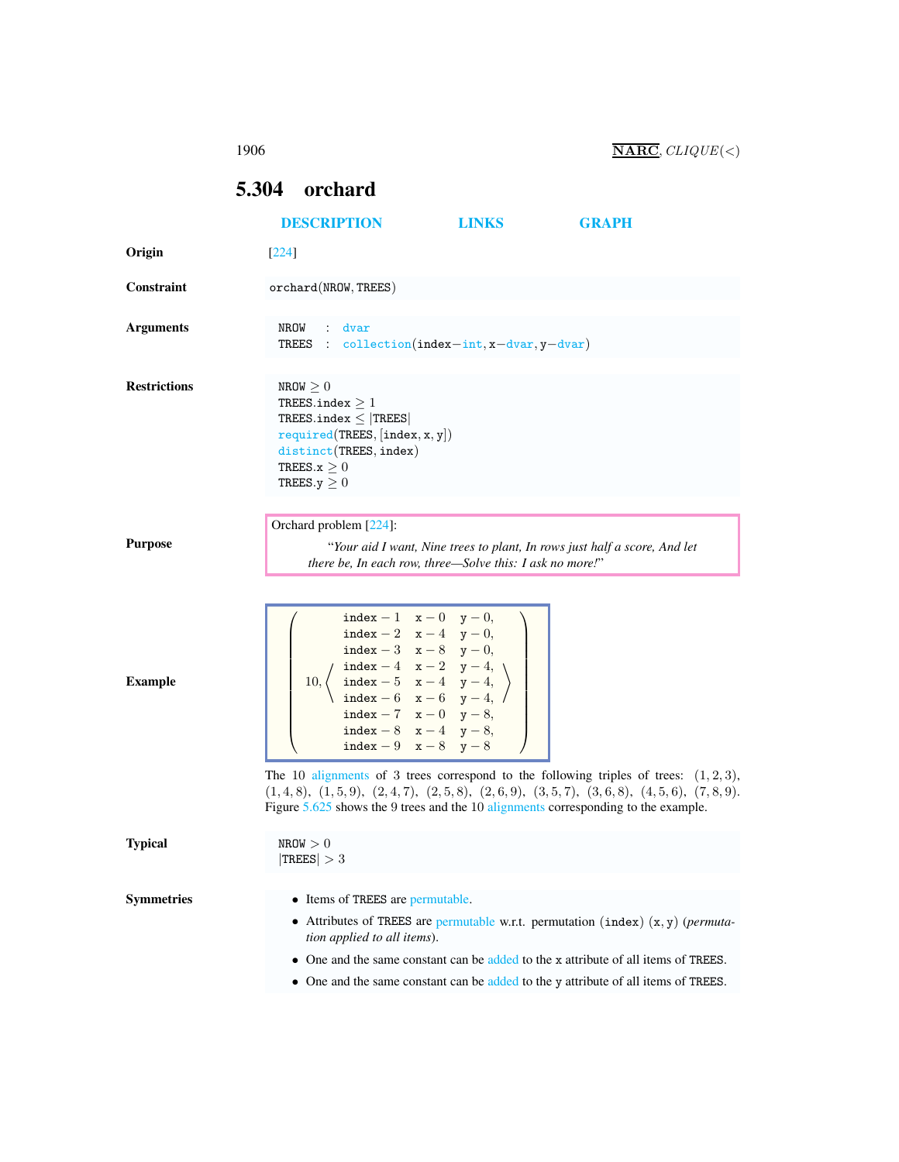1906  $\overline{\text{NARC}}$ ,  $CLIQUE(<)$ 

## <span id="page-0-0"></span>5.304 orchard

|                     | <b>DESCRIPTION</b>                                                                                                                                                                                                                                                                                                                                                | <b>LINKS</b> | <b>GRAPH</b>                                                                                                                                                           |
|---------------------|-------------------------------------------------------------------------------------------------------------------------------------------------------------------------------------------------------------------------------------------------------------------------------------------------------------------------------------------------------------------|--------------|------------------------------------------------------------------------------------------------------------------------------------------------------------------------|
| Origin              | $[224]$                                                                                                                                                                                                                                                                                                                                                           |              |                                                                                                                                                                        |
| Constraint          | orchard(NROW, TREES)                                                                                                                                                                                                                                                                                                                                              |              |                                                                                                                                                                        |
| <b>Arguments</b>    | NROW : dvar<br>TREES : collection(index-int, x-dvar, y-dvar)                                                                                                                                                                                                                                                                                                      |              |                                                                                                                                                                        |
| <b>Restrictions</b> | NROW $\geq 0$<br>TREES.index $\geq 1$<br>TREES.index $\leq$  TREES <br>required(TREES, [index, x, y])<br>distinct(TREES, index)<br>TREES. $x > 0$<br>TREES. $y \geq 0$                                                                                                                                                                                            |              |                                                                                                                                                                        |
| <b>Purpose</b>      | Orchard problem [224]:<br>there be, In each row, three—Solve this: I ask no more!"                                                                                                                                                                                                                                                                                |              | "Your aid I want, Nine trees to plant, In rows just half a score, And let                                                                                              |
| <b>Example</b>      | index - 1 $x - 0$ $y - 0$ ,<br>index - 2 $x-4$ $y-0$ ,<br>index - 3 $x-8$ $y-0$ ,<br>$\frac{1}{x-2}$ $y-4$ ,<br>$\frac{1}{x-2}$ $y-4$ ,<br>$\frac{1}{x-4}$ ,<br>$\frac{1}{x-6}$ $\frac{1}{x-6}$ ,<br>$\frac{1}{x-6}$ ,<br>$\frac{1}{x-6}$ ,<br>$\frac{1}{x-6}$<br>$10, \langle$<br>index $-7$ x $-0$ y $-8$ ,<br>index - 8 $x-4$ $y-8$ ,<br>index - 9 $x-8$ $y-8$ |              |                                                                                                                                                                        |
|                     | The 10 alignments of 3 trees correspond to the following triples of trees: $(1,2,3)$ ,<br>$(1,4,8), (1,5,9), (2,4,7), (2,5,8), (2,6,9), (3,5,7), (3,6,8), (4,5,6), (7,8,9).$<br>Figure $5.625$ shows the 9 trees and the 10 alignments corresponding to the example.                                                                                              |              |                                                                                                                                                                        |
| <b>Typical</b>      | NROW > 0<br>$ {\rm TREES}  > 3$                                                                                                                                                                                                                                                                                                                                   |              |                                                                                                                                                                        |
| <b>Symmetries</b>   | • Items of TREES are permutable.<br>tion applied to all items).<br>• One and the same constant can be added to the y attribute of all items of TREES.                                                                                                                                                                                                             |              | • Attributes of TREES are permutable w.r.t. permutation (index) $(x, y)$ (permuta-<br>One and the same constant can be added to the x attribute of all items of TREES. |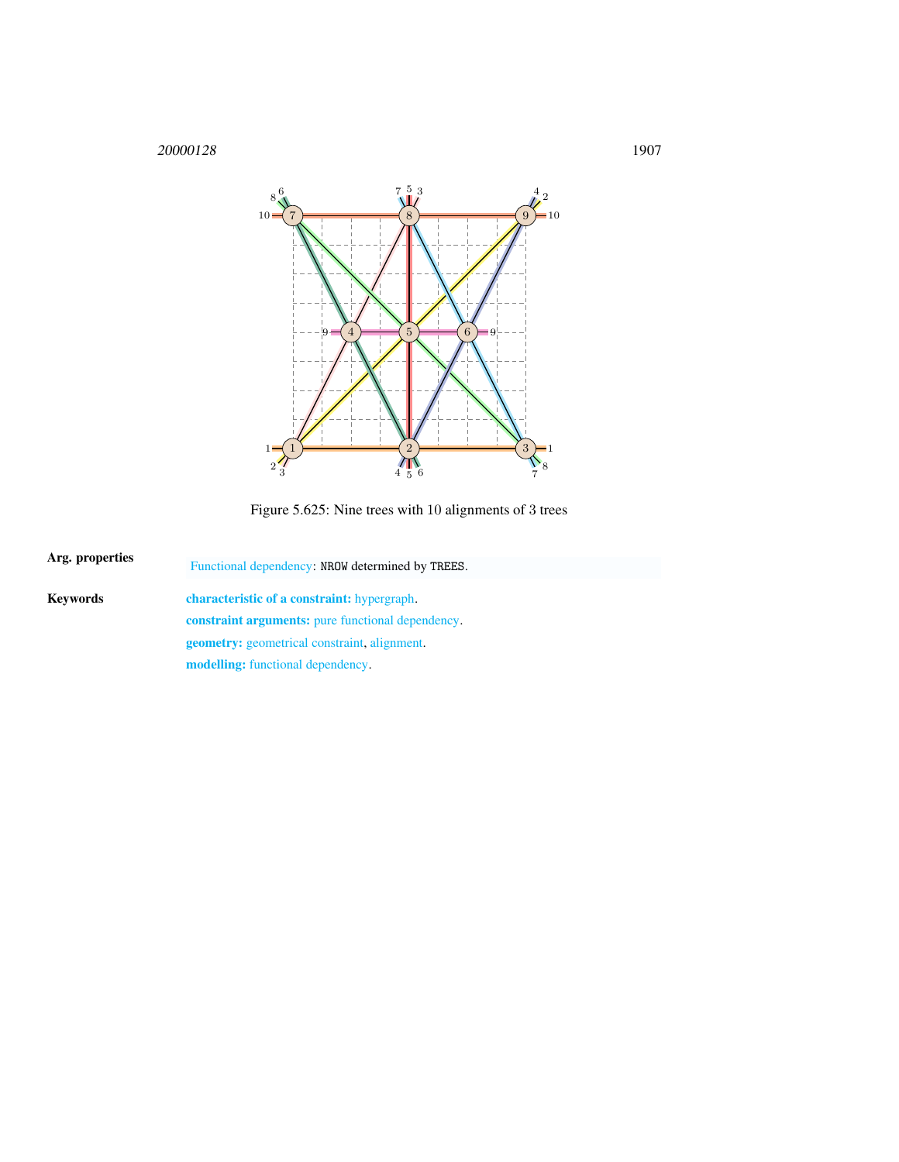1907



<span id="page-1-1"></span>Figure 5.625: Nine trees with 10 alignments of 3 trees

<span id="page-1-0"></span>

| Arg. properties | Functional dependency: NROW determined by TREES.         |  |  |
|-----------------|----------------------------------------------------------|--|--|
| Kevwords        | <b>characteristic of a constraint:</b> hypergraph.       |  |  |
|                 | <b>constraint arguments:</b> pure functional dependency. |  |  |
|                 | <b>geometry:</b> geometrical constraint, alignment.      |  |  |
|                 | <b>modelling:</b> functional dependency.                 |  |  |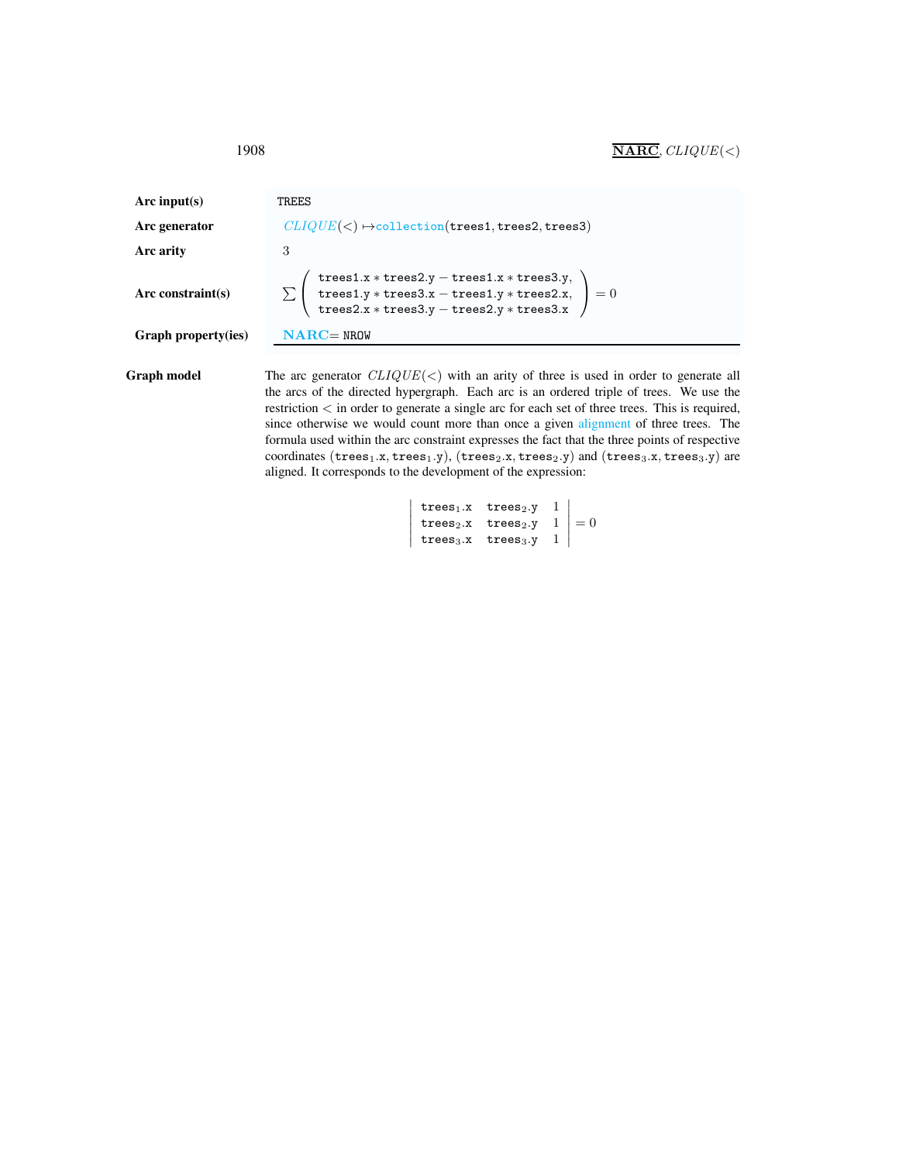| Arc input(s)        | TREES                                                                                                                                                                                                                                                                                                                                                                     |
|---------------------|---------------------------------------------------------------------------------------------------------------------------------------------------------------------------------------------------------------------------------------------------------------------------------------------------------------------------------------------------------------------------|
| Arc generator       | $CLIQUE(<) \rightarrow collection(trees1, trees2, trees3)$                                                                                                                                                                                                                                                                                                                |
| Arc arity           | 3                                                                                                                                                                                                                                                                                                                                                                         |
| Arc constraint(s)   | $\sum \left( \begin{array}{c} \texttt{trees1.x*trees2.y}-\texttt{trees1.x*trees3.y}, \\ \texttt{trees1.y*trees3.x}-\texttt{trees1.y*trees2.x}, \\ \texttt{trees2.x*trees3.y}-\texttt{trees2.y*trees3.x} \end{array} \right) = 0$                                                                                                                                          |
| Graph property(ies) | $NARC = NROW$                                                                                                                                                                                                                                                                                                                                                             |
| Graph model         | The arc generator $CLIQUE(<)$ with an arity of three is used in order to generate all<br>the arcs of the directed hypergraph. Each arc is an ordered triple of trees. We use the<br>restriction < in order to generate a single arc for each set of three trees. This is required,<br>since otherwise we would count more than once a given alignment of three trees. The |

formula used within the arc constraint expresses the fact that the three points of respective coordinates ( $trees_1.x, trees_1.y$ ), ( $trees_2.x, trees_2.y$ ) and ( $trees_3.x, trees_3.y$ ) are aligned. It corresponds to the development of the expression:  $\overline{\phantom{a}}$ 

```
\overline{\phantom{a}}I
\overline{\phantom{a}}| \text{trees}_3.x \text{ trees}_3.y \quad 1 |
   trees_1.x trees_2.y 1
     trees<sub>2</sub>.x trees<sub>2</sub>.y 1<br>trees<sub>2</sub>.x trees<sub>2</sub>.y 1 = 0
                                                                       \overline{\phantom{a}}
```
<span id="page-2-0"></span>